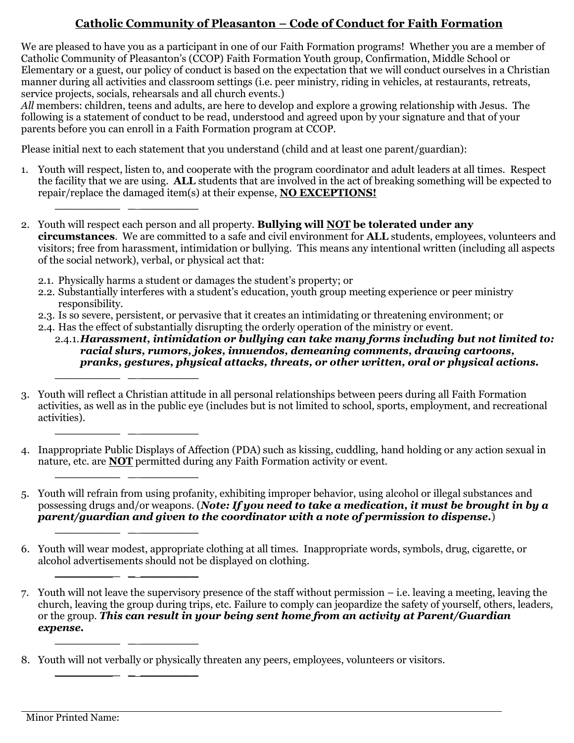## **Catholic Community of Pleasanton – Code of Conduct for Faith Formation**

We are pleased to have you as a participant in one of our Faith Formation programs! Whether you are a member of Catholic Community of Pleasanton's (CCOP) Faith Formation Youth group, Confirmation, Middle School or Elementary or a guest, our policy of conduct is based on the expectation that we will conduct ourselves in a Christian manner during all activities and classroom settings (i.e. peer ministry, riding in vehicles, at restaurants, retreats, service projects, socials, rehearsals and all church events.)

*All* members: children, teens and adults, are here to develop and explore a growing relationship with Jesus. The following is a statement of conduct to be read, understood and agreed upon by your signature and that of your parents before you can enroll in a Faith Formation program at CCOP. i

Please initial next to each statement that you understand (child and at least one parent/guardian):

- 1. Youth will respect, listen to, and cooperate with the program coordinator and adult leaders at all times. Respect the facility that we are using. **ALL** students that are involved in the act of breaking something will be expected to repair/replace the damaged item(s) at their expense, **NO EXCEPTIONS!**
- 2. Youth will respect each person and all property. **Bullying will NOT be tolerated under any circumstances**. We are committed to a safe and civil environment for **ALL** students, employees, volunteers and visitors; free from harassment, intimidation or bullying. This means any intentional written (including all aspects of the social network), verbal, or physical act that:
	- 2.1. Physically harms a student or damages the student's property; or

**\_\_\_\_\_\_\_\_\_ \_ \_\_\_\_\_\_\_\_**

**\_\_\_\_\_\_\_\_\_ \_ \_\_\_\_\_\_\_\_**

**\_\_\_\_\_\_\_\_\_ \_ \_\_\_\_\_\_\_\_**

**\_\_\_\_\_\_\_\_\_ \_ \_\_\_\_\_\_\_\_**

- 2.2. Substantially interferes with a student's education, youth group meeting experience or peer ministry responsibility.
- 2.3. Is so severe, persistent, or pervasive that it creates an intimidating or threatening environment; or
- 2.4. Has the effect of substantially disrupting the orderly operation of the ministry or event.
	- 2.4.1.*Harassment, intimidation or bullying can take many forms including but not limited to: racial slurs, rumors, jokes, innuendos, demeaning comments, drawing cartoons, pranks, gestures, physical attacks, threats, or other written, oral or physical actions.* **\_\_\_\_\_\_\_\_\_ \_ \_\_\_\_\_\_\_\_**
- 3. Youth will reflect a Christian attitude in all personal relationships between peers during all Faith Formation activities, as well as in the public eye (includes but is not limited to school, sports, employment, and recreational activities). **\_\_\_\_\_\_\_\_\_ \_ \_\_\_\_\_\_\_\_**
- I 4. Inappropriate Public Displays of Affection (PDA) such as kissing, cuddling, hand holding or any action sexual in nature, etc. are **NOT** permitted during any Faith Formation activity or event.
- 5. Youth will refrain from using profanity, exhibiting improper behavior, using alcohol or illegal substances and possessing drugs and/or weapons. (*Note: If you need to take a medication, it must be brought in by a parent/guardian and given to the coordinator with a note of permission to dispense.*) **\_\_\_\_\_\_\_\_\_ \_ \_\_\_\_\_\_\_\_**
- 6. Youth will wear modest, appropriate clothing at all times. Inappropriate words, symbols, drug, cigarette, or alcohol advertisements should not be displayed on clothing.

<sup>7.</sup> Youth will not leave the supervisory presence of the staff without permission – i.e. leaving a meeting, leaving the church, leaving the group during trips, etc. Failure to comply can jeopardize the safety of yourself, others, leaders, or the group. *This can result in your being sent home from an activity at Parent/Guardian expense.* **\_\_\_\_\_\_\_\_\_ \_ \_\_\_\_\_\_\_\_**

<sup>8.</sup> Youth will not verbally or physically threaten any peers, employees, volunteers or visitors.